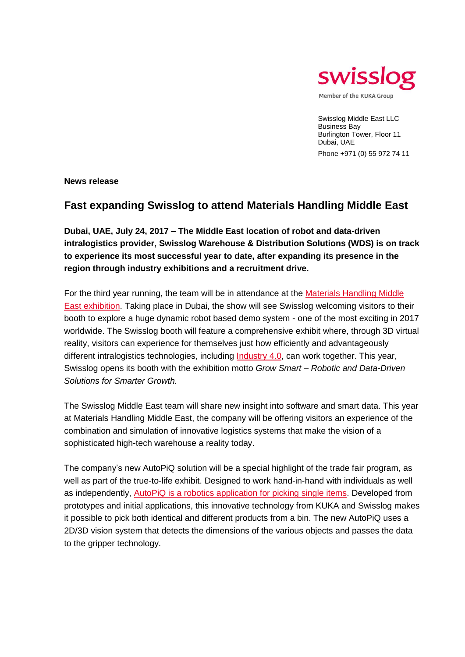

Swisslog Middle East LLC Business Bay Burlington Tower, Floor 11 Dubai, UAE Phone +971 (0) 55 972 74 11

**News release**

## **Fast expanding Swisslog to attend Materials Handling Middle East**

**Dubai, UAE, July 24, 2017 – The Middle East location of robot and data-driven intralogistics provider, Swisslog Warehouse & Distribution Solutions (WDS) is on track to experience its most successful year to date, after expanding its presence in the region through industry exhibitions and a recruitment drive.**

For the third year running, the team will be in attendance at the [Materials Handling Middle](http://www.swisslog.com/materialshandling2017)  [East exhibition.](http://www.swisslog.com/materialshandling2017) Taking place in Dubai, the show will see Swisslog welcoming visitors to their booth to explore a huge dynamic robot based demo system - one of the most exciting in 2017 worldwide. The Swisslog booth will feature a comprehensive exhibit where, through 3D virtual reality, visitors can experience for themselves just how efficiently and advantageously different intralogistics technologies, including [Industry 4.0,](http://www.swisslog.com/en/Success-Stories/WDS/Industry-40-Industrie-40-logistics-logistik) can work together. This year, Swisslog opens its booth with the exhibition motto *Grow Smart – Robotic and Data-Driven Solutions for Smarter Growth.*

The Swisslog Middle East team will share new insight into software and smart data. This year at Materials Handling Middle East, the company will be offering visitors an experience of the combination and simulation of innovative logistics systems that make the vision of a sophisticated high-tech warehouse a reality today.

The company's new AutoPiQ solution will be a special highlight of the trade fair program, as well as part of the true-to-life exhibit. Designed to work hand-in-hand with individuals as well as independently, [AutoPiQ is a robotics application for picking single items.](http://www.swisslog.com/autopiq) Developed from prototypes and initial applications, this innovative technology from KUKA and Swisslog makes it possible to pick both identical and different products from a bin. The new AutoPiQ uses a 2D/3D vision system that detects the dimensions of the various objects and passes the data to the gripper technology.